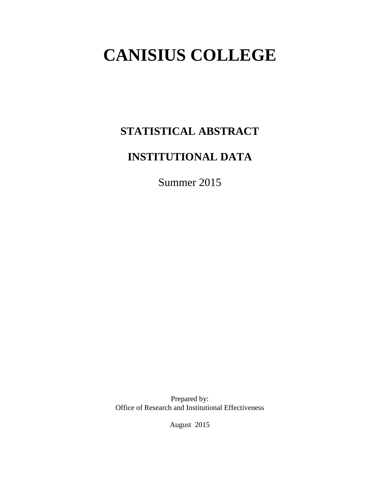# **CANISIUS COLLEGE**

# **STATISTICAL ABSTRACT**

# **INSTITUTIONAL DATA**

Summer 2015

Prepared by: Office of Research and Institutional Effectiveness

August 2015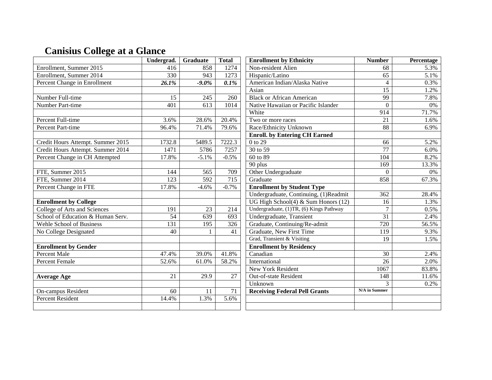# **Canisius College at a Glance**

|                                   | Undergrad.                               | Graduate          | <b>Total</b>    | <b>Enrollment by Ethnicity</b>           | <b>Number</b>    | Percentage |
|-----------------------------------|------------------------------------------|-------------------|-----------------|------------------------------------------|------------------|------------|
| Enrollment, Summer 2015           | 416                                      | 858               | 1274            | Non-resident Alien                       | 68               | 5.3%       |
| Enrollment, Summer 2014           | 330                                      | 943               | 1273            | Hispanic/Latino                          | $\overline{65}$  | 5.1%       |
| Percent Change in Enrollment      | 26.1%                                    | $-9.0\%$          | 0.1%            | American Indian/Alaska Native            | $\overline{4}$   | 0.3%       |
|                                   |                                          |                   |                 | Asian                                    | $\overline{15}$  | 1.2%       |
| Number Full-time                  | 15                                       | 245               | 260             | <b>Black or African American</b>         | 99               | 7.8%       |
| Number Part-time                  | 401                                      | 613               | 1014            | Native Hawaiian or Pacific Islander      | $\theta$         | 0%         |
|                                   |                                          |                   |                 | White                                    | 914              | 71.7%      |
| Percent Full-time                 | 3.6%                                     | 28.6%             | 20.4%           | Two or more races                        | $\overline{21}$  | 1.6%       |
| <b>Percent Part-time</b>          | 96.4%                                    | 71.4%             | 79.6%           | Race/Ethnicity Unknown                   | 88               | 6.9%       |
|                                   |                                          |                   |                 | <b>Enroll.</b> by Entering CH Earned     |                  |            |
| Credit Hours Attempt. Summer 2015 | 1732.8                                   | 5489.5            | 7222.3          | $0$ to 29                                | 66               | 5.2%       |
| Credit Hours Attempt. Summer 2014 | 1471                                     | 5786              | 7257            | 30 to 59                                 | $\overline{77}$  | 6.0%       |
| Percent Change in CH Attempted    | 17.8%                                    | $-5.1%$           | $-0.5%$         | 60 to 89                                 | 104              | 8.2%       |
|                                   |                                          |                   |                 | 90 plus                                  | 169              | 13.3%      |
| FTE, Summer 2015                  | 709<br>Other Undergraduate<br>144<br>565 |                   | $\overline{0}$  | $\overline{0\%}$                         |                  |            |
| FTE, Summer 2014                  | 123                                      | 592               | 715             | Graduate                                 | 858              | 67.3%      |
| Percent Change in FTE             | 17.8%                                    | $-4.6%$           | $-0.7%$         | <b>Enrollment by Student Type</b>        |                  |            |
|                                   |                                          |                   |                 | Undergraduate, Continuing, (1)Readmit    | 362              | 28.4%      |
| <b>Enrollment by College</b>      |                                          |                   |                 | UG High School $(4)$ & Sum Honors $(12)$ | 16               | 1.3%       |
| College of Arts and Sciences      | 191                                      | 23                | 214             | Undergraduate, (1)TR, (6) Kings Pathway  | $\overline{7}$   | 0.5%       |
| School of Education & Human Serv. | $\overline{54}$                          | 639               | 693             | Undergraduate, Transient                 | $\overline{31}$  | 2.4%       |
| Wehle School of Business          | $\overline{131}$                         | $\overline{195}$  | $\frac{1}{326}$ | Graduate, Continuing/Re-admit            | $\overline{720}$ | 56.5%      |
| No College Designated             | $\overline{40}$                          | $\mathbf{1}$      | 41              | Graduate, New First Time                 | $\overline{119}$ | 9.3%       |
|                                   |                                          |                   |                 | Grad, Transient & Visiting               | $\overline{19}$  | 1.5%       |
| <b>Enrollment by Gender</b>       |                                          |                   |                 | <b>Enrollment by Residency</b>           |                  |            |
| <b>Percent Male</b>               | 47.4%                                    | 39.0%             | 41.8%           | Canadian                                 | $\overline{30}$  | 2.4%       |
| <b>Percent Female</b>             | 52.6%                                    | 61.0%             | 58.2%           | International                            | 26               | 2.0%       |
|                                   |                                          |                   |                 | <b>New York Resident</b>                 | 1067             | 83.8%      |
| <b>Average Age</b>                | $\overline{21}$                          | $\overline{29.9}$ | $\overline{27}$ | Out-of-state Resident                    | 148              | 11.6%      |
|                                   |                                          |                   |                 | Unknown                                  | 3                | 0.2%       |
| On-campus Resident                | 60                                       | 11                | 71              | <b>Receiving Federal Pell Grants</b>     | N/A in Summer    |            |
| <b>Percent Resident</b>           | 14.4%                                    | 1.3%              | 5.6%            |                                          |                  |            |
|                                   |                                          |                   |                 |                                          |                  |            |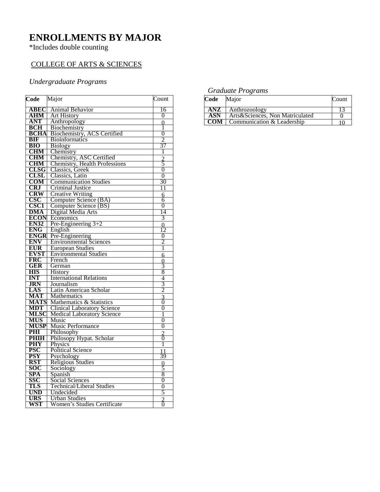### **ENROLLMENTS BY MAJOR**

\*Includes double counting

#### COLLEGE OF ARTS & SCIENCES

#### *Undergraduate Programs*

| Code                     | Major                              | Count               |
|--------------------------|------------------------------------|---------------------|
| <b>ABEC</b>              | Animal Behavior                    | 16                  |
| ${\bf AHM}$              | <b>Art History</b>                 | 0                   |
| ANT                      | Anthropology                       | $\theta$            |
| <b>BCH</b>               | Biochemistry                       | 1                   |
| <b>BCHA</b>              | Biochemistry, ACS Certified        | 0                   |
| <b>BIF</b>               | <b>Bioinformatics</b>              | 2                   |
| <b>BIO</b>               | <b>Biology</b>                     | 37                  |
| <b>CHM</b>               | Chemistry                          | 1                   |
| <b>CHM</b>               | Chemistry, ASC Certified           |                     |
| <b>CHM</b>               | Chemistry, Health Professions      | $\frac{2}{5}$       |
| <b>CLSG</b>              | Classics, Greek                    | $\overline{0}$      |
| <b>CLSL</b>              | Classics, Latin                    | $\overline{0}$      |
| COM                      | <b>Communication Studies</b>       | 30                  |
| <b>CRJ</b>               | <b>Criminal Justice</b>            | 11                  |
| <b>CRW</b>               | <b>Creative Writing</b>            | 6                   |
| <b>CSC</b>               | Computer Science (BA)              | 6                   |
| <b>CSC1</b>              | Computer Science (BS)              | $\overline{0}$      |
| DMA                      | Digital Media Arts                 | 14                  |
| <b>ECON</b>              | Economics                          | 3                   |
| <b>EN32</b>              | Pre-Engineering $3+2$              | $\overline{0}$      |
| <b>ENG</b>               | English                            | 12                  |
| <b>ENGR</b>              | Pre-Engineering                    | 0                   |
| <b>ENV</b>               | <b>Environmental Sciences</b>      | 2                   |
| <b>EUR</b>               | <b>European Studies</b>            | 1                   |
| <b>EVST</b>              | <b>Environmental Studies</b>       | 6                   |
| <b>FRC</b>               | French                             | 0                   |
| GER                      | German                             | 3                   |
| <b>HIS</b>               | <b>History</b>                     | 8                   |
| <b>INT</b>               | <b>International Relations</b>     | 4                   |
| <b>JRN</b>               | Journalism                         | $\frac{3}{2}$       |
| LAS                      | Latin American Scholar             |                     |
| MAT                      | Mathematics                        | $\frac{3}{0}$       |
| <b>MATS</b>              | Mathematics & Statistics           |                     |
| <b>MDT</b>               | <b>Clinical Laboratory Science</b> | 0                   |
| <b>MLSC</b>              | <b>Medical Laboratory Science</b>  | 1                   |
| <b>MUS</b>               | Music                              | 0                   |
| <b>MUSP</b>              | Music Performance                  | 0                   |
| PHI                      | Philosophy                         | $\frac{2}{6}$       |
| <b>PHIH</b>              | Philosopy Hypat. Scholar           |                     |
| <b>PHY</b>               | Physics                            | 1                   |
| <b>PSC</b>               | <b>Political Science</b>           |                     |
| <b>PSY</b>               | Psychology                         | 39                  |
| <b>RST</b>               | <b>Religious Studies</b>           | $\frac{0}{5}$       |
| <b>SOC</b>               | Sociology                          |                     |
| SPA                      | Spanish                            | $\overline{8}$      |
| SSC                      | Social Sciences                    | 0                   |
| TLS                      | <b>Technical/Liberal Studies</b>   | $\overline{0}$      |
| <b>UND</b><br><b>URS</b> | Undecided                          | 5                   |
|                          | <b>Urban Studies</b>               | $\overline{2}$<br>ō |
| WST                      | Women's Studies Certificate        |                     |

#### *Graduate Programs*

| Code | Major                           | Count |
|------|---------------------------------|-------|
| ANZ  | Anthrozoology                   |       |
| ASN  | Arts&Sciences, Non Matriculated |       |
| COM- | Communication & Leadership      |       |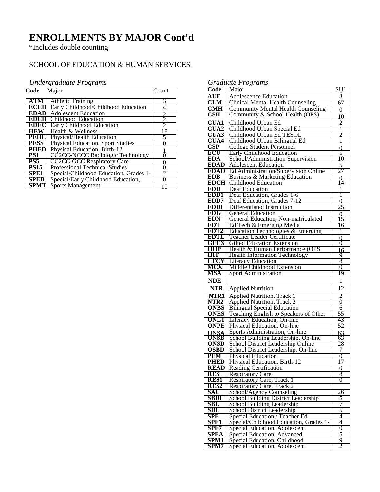### **ENROLLMENTS BY MAJOR Cont'd**

\*Includes double counting

#### SCHOOL OF EDUCATION & HUMAN SERVICES

#### *Undergraduate Programs*

| Code             | Major                                    | Count          |
|------------------|------------------------------------------|----------------|
| ATM              | <b>Athletic Training</b>                 | 3              |
| <b>ECCHI</b>     | Early Childhood/Childhood Education      | 4              |
| <b>EDAD</b>      | <b>Adolescent Education</b>              |                |
| <b>EDCH</b>      | Childhood Education                      | $\overline{c}$ |
| <b>EDEC</b>      | <b>Early Childhood Education</b>         | $\mathfrak{D}$ |
| <b>HEW</b>       | Health & Wellness                        | 18             |
| <b>PEHL</b>      | Physical/Health Education                | 5              |
| <b>PESS</b>      | <b>Physical Education, Sport Studies</b> |                |
| <b>PHED</b>      | Physical Education, Birth-12             |                |
| PS1              | <b>CC2CC-NCCC Radiologic Technology</b>  |                |
| PS5              | <b>CC2CC-GCC Respiratory Care</b>        |                |
| <b>PS15</b>      | <b>Professional Technical Studies</b>    |                |
| SPE <sub>1</sub> | Special/Childhood Education, Grades 1-   |                |
| <b>SPEB</b>      | Special/Early Childhood Education,       |                |
| <b>SPMT</b>      | <b>Sports Management</b>                 |                |

*Graduate Programs*

|                           | $O$ and $O(1 + O(1))$                                            |                     |
|---------------------------|------------------------------------------------------------------|---------------------|
| Code                      | Major                                                            | SU1                 |
| AUE                       | <b>Adolescence Education</b>                                     | 3                   |
| CLM                       | <b>Clinical Mental Health Counseling</b>                         | 67                  |
| <b>CMH</b>                | <b>Community Mental Health Counseling</b>                        | $\Omega$            |
| $\overline{\text{CSH}}$   | Community & School Health (OPS)                                  | 10                  |
| <b>CUA1</b>               | Childhood Urban Ed                                               | $\overline{2}$      |
| <b>CUA2</b>               | Childhood Urban Special Ed                                       | 1                   |
| <b>CUA3</b>               | Childhood Urban Ed TESOL                                         | $\overline{2}$      |
| <b>CUA4</b>               | Childhood Urban Bilingual Ed                                     | 1                   |
| CSP                       | <b>College Student Personnel</b>                                 | $\overline{0}$      |
| <b>ECU</b>                | <b>Early Childhood Education</b>                                 | $\check{5}$         |
| EDA                       | School/Administration Supervision                                | 10                  |
| <b>EDAD</b>               | <b>Adolescent Education</b>                                      | 5                   |
| <b>EDAO</b>               | Ed Administration/Supervision Online                             | 27                  |
| <b>EDB</b>                | Business & Marketing Education                                   | 0                   |
| <b>EDCH</b>               | <b>Childhood Education</b>                                       | 14                  |
| <b>EDD</b>                | Deaf Education                                                   |                     |
| EDD1                      | Deaf Education, Grades 1-6                                       | 1                   |
| EDD7                      | Deaf Education, Grades 7-12                                      | $\overline{0}$      |
| <b>EDDI</b>               | <b>Differentiated Instruction</b>                                | 25                  |
| <b>EDG</b>                | <b>General Education</b>                                         | 0                   |
| <b>EDN</b>                | General Education, Non-matriculated                              | 15                  |
| <b>EDT</b>                | Ed Tech & Emerging Media                                         | 16                  |
| EDT <sub>2</sub>          | Education Technologies & Emerging                                | 1                   |
| <b>EDTL</b>               | Teacher Leader Certificate                                       |                     |
| <b>GEEX</b>               | <b>Gifted Education Extension</b>                                | 0<br>0              |
| <b>HHP</b>                | Health & Human Performance (OPS                                  | 16                  |
| <b>HIT</b>                | <b>Health Information Technology</b>                             | 9                   |
| LTCY                      | <b>Literacy Education</b>                                        | 8                   |
| MCX                       | Middle Childhood Extension                                       | 0                   |
| MSA                       | <b>Sport Administration</b>                                      | 19                  |
|                           |                                                                  |                     |
| <b>NDE</b>                |                                                                  | 1                   |
| <b>NTR</b>                | <b>Applied Nutrition</b>                                         | 12                  |
| NTR1                      | <b>Applied Nutrition, Track 1</b>                                | $\overline{c}$      |
| NTR <sub>2</sub>          | <b>Applied Nutrition</b> , Track 2                               | $\overline{0}$      |
| <b>ONBS</b>               | <b>Bilingual Special Education</b>                               | 6                   |
| <b>ONES</b>               | Teaching English to Speakers of Other                            | 55                  |
| ONLT                      | Literacy Education, On-line                                      | 43                  |
| <b>ONPE</b>               | Physical Education, On-line                                      | 52                  |
| <b>ONSA</b>               | Sports Administration, On-line                                   | 63                  |
| <b>ONSB</b>               | School Building Leadership, On-line                              | 63                  |
| <b>ONSD</b>               | School District Leadership Online                                | 28                  |
| <b>OSBD</b><br><b>PEM</b> | School District Leadership, On-line<br><b>Physical Education</b> | 7<br>$\overline{0}$ |
| PHED                      |                                                                  |                     |
| <b>READ</b>               | Physical Education, Birth-12<br><b>Reading Certification</b>     | 17<br>0             |
| <b>RES</b>                | <b>Respiratory Care</b>                                          | 8                   |
| <b>RES1</b>               | Respiratory Care, Track 1                                        | 0                   |
| RES <sub>2</sub>          |                                                                  |                     |
| <b>SAC</b>                | Respiratory Care, Track 2<br>School/Agency Counseling            | 26                  |
| SBDL                      | <b>School Building District Leadership</b>                       | 5                   |
| SBL                       | School Building Leadership                                       | 7                   |
| <b>SDL</b>                | School District Leadership                                       | 5                   |
| <b>SPE</b>                | Special Education / Teacher Ed                                   | 4                   |
| <b>SPE1</b>               | Special/Childhood Education, Grades 1-                           | 4                   |
| SPE7                      | Special Education, Adolescent                                    | $\overline{0}$      |
| <b>SPEA</b>               | Special Education, Advanced                                      | 5                   |
| <b>SPM1</b>               | Special Education, Childhood                                     | 9                   |
| SPM7                      | Special Education, Adolescent                                    | $\overline{2}$      |
|                           |                                                                  |                     |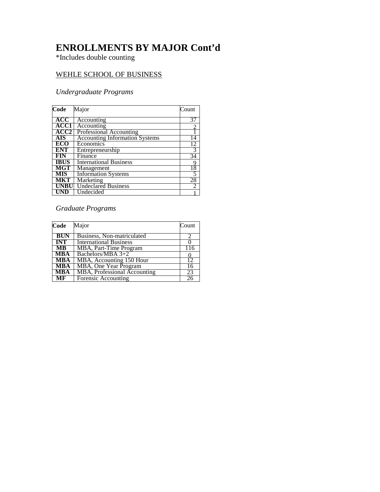### **ENROLLMENTS BY MAJOR Cont'd**

\*Includes double counting

#### WEHLE SCHOOL OF BUSINESS

#### *Undergraduate Programs*

| Code             | Major                                 | Count |
|------------------|---------------------------------------|-------|
| <b>ACC</b>       | Accounting                            |       |
| ACC1             | Accounting                            |       |
| ACC <sub>2</sub> | Professional Accounting               |       |
| <b>AIS</b>       | <b>Accounting Information Systems</b> | 14    |
| ECO              | Economics                             | 12    |
| <b>ENT</b>       | Entrepreneurship                      | 3     |
| FIN              | Finance                               | 34    |
| <b>IBUS</b>      | <b>International Business</b>         | 9     |
| <b>MGT</b>       | Management                            | 18    |
| <b>MIS</b>       | <b>Information Systems</b>            | 5     |
| <b>MKT</b>       | Marketing                             | 28    |
| <b>UNBI</b>      | <b>Undeclared Business</b>            | 2     |
|                  | Undecided                             |       |

#### *Graduate Programs*

| Code                    | Major                               | Count |
|-------------------------|-------------------------------------|-------|
| <b>BUN</b>              | Business, Non-matriculated          |       |
| <b>INT</b>              | <b>International Business</b>       |       |
| $\overline{\text{MB}}$  | MBA, Part-Time Program              | 116   |
| <b>MBA</b>              | Bachelors/MBA $3+2$                 |       |
| <b>MBA</b>              | MBA, Accounting 150 Hour            | 12    |
| <b>MBA</b>              | <b>MBA</b> , One Year Program       | 16    |
| $\overline{\text{MBA}}$ | <b>MBA, Professional Accounting</b> | 23    |
| $\overline{\text{MF}}$  | Forensic Accounting                 |       |
|                         |                                     |       |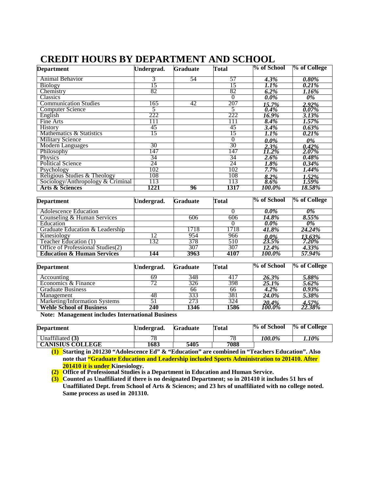| <b>Department</b>                 | Undergrad. | <b>Graduate</b> | <b>Total</b> | % of School  | % of College |
|-----------------------------------|------------|-----------------|--------------|--------------|--------------|
| Animal Behavior                   | 3          | 54              | 57           | $4.3\%$      | $0.80\%$     |
| <b>Biology</b>                    | 15         |                 | 15           | $1.1\%$      | 0.21%        |
| Chemistry                         | 82         |                 | 82           | $6.2\%$      | 1.16%        |
| Classics                          |            |                 | 0            | $0.0\%$      | 0%           |
| <b>Communication Studies</b>      | 165        | 42              | 207          | 15.7%        | 2.92%        |
| Computer Science                  |            |                 | 5            | 0.4%         | 0.07%        |
| English                           | 222        |                 | 222          | 16.9%        | 3.13%        |
| Fine Arts                         | 111        |                 | 111          | 8.4%         | 1.57%        |
| <b>History</b>                    | 45         |                 | 45           | 3.4%         | $0.63\%$     |
| Mathematics & Statistics          | 15         |                 | 15           | $1.1\%$      | 0.21%        |
| <b>Military Science</b>           |            |                 | $\theta$     | $0.0\%$      | 0%           |
| <b>Modern Languages</b>           | 30         |                 | 30           | 2.3%         | 0.42%        |
| Philosophy                        | 147        |                 | 147          | <i>11.2%</i> | 2.07%        |
| Physics                           | 34         |                 | 34           | 2.6%         | 0.48%        |
| <b>Political Science</b>          | 24         |                 | 24           | 1.8%         | $0.34\%$     |
| Psychology                        | 102        |                 | 102          | $7.7\%$      | 1.44%        |
| Religious Studies & Theology      | 108        |                 | 108          | $8.2\%$      | $1.52\%$     |
| Sociology/Anthropology & Criminal | 113        |                 | 113          | 8.6%         | 1.59%        |
| <b>Arts &amp; Sciences</b>        | 1221       | 96              | 1317         | 100.0%       | 18.58%       |

### **CREDIT HOURS BY DEPARTMENT AND SCHOOL**

| <b>Department</b>                     | Undergrad. | <b>Graduate</b> | <b>Total</b> | % of School            | % of College |
|---------------------------------------|------------|-----------------|--------------|------------------------|--------------|
| Adolescence Education                 |            |                 |              | $0.0\%$                | 0%           |
| Counseling & Human Services           |            | 606             | 606          | 14.8%                  | $8.55\%$     |
| Education                             |            |                 |              | $0.0\%$                | 0%           |
| Graduate Education & Leadership       |            | 1718            | 1718         | 41.8%                  | 24.24%       |
| Kinesiology                           | 12         | 954             | 966          |                        | 13.63%       |
| Teacher Education (1)                 | 132        | 378             | 510          | $\frac{0.0\%}{23.5\%}$ | $7.20\%$     |
| Office of Professional Studies(2)     |            | 307             | 307          | 12.4%                  | $4.33\%$     |
| <b>Education &amp; Human Services</b> | 144        | 3963            | 4107         | 100.0%                 | 57.94%       |
|                                       |            |                 |              |                        |              |
| <b>Department</b>                     | Undergrad. | <b>Graduate</b> | Total        | % of School            | % of College |

| <b>Department</b>               | Undergrad. | <b>Graduate</b> | Total | % of School         | % of College |
|---------------------------------|------------|-----------------|-------|---------------------|--------------|
| Accounting                      | 69         | 348             | 417   | $26.\overline{3\%}$ | $5.88\%$     |
| Economics & Finance             | 72         | 326             | 398   | 25.1%               | 5.62%        |
| <b>Graduate Business</b>        |            | 66              | 66    | $4.2\%$             | 0.93%        |
| Management                      | 48         | 333             | 381   | $24.\overline{0\%}$ | 5.38%        |
| Marketing/Information Systems   |            | 273             | 324   | 20.4%               | 4.57%        |
| <b>Wehle School of Business</b> | 240        | 1346            | 1586  | 100.0%              | 22.38%       |

**Note: Management includes International Business**

| <b>Department</b>       | Undergrad. | <b>Graduate</b> | <b>Total</b> | <b>% of School</b> | % of College |
|-------------------------|------------|-----------------|--------------|--------------------|--------------|
| Unaffiliated (3)        |            |                 |              | 100.0%             | $1.10\%$     |
| <b>CANISIUS COLLEGE</b> | 1683       | 5405            | 7088         |                    |              |

**(1) Starting in 201230 "Adolescence Ed" & "Education" are combined in "Teachers Education". Also note that "Graduate Education and Leadership included Sports Administration to 201410. After 201410 it is under Kinesiology.**

**(2) Office of Professional Studies is a Department in Education and Human Service.**

**(3) Counted as Unaffiliated if there is no designated Department; so in 201410 it includes 51 hrs of Unaffiliated Dept. from School of Arts & Sciences; and 23 hrs of unaffiliated with no college noted. Same process as used in 201310.**